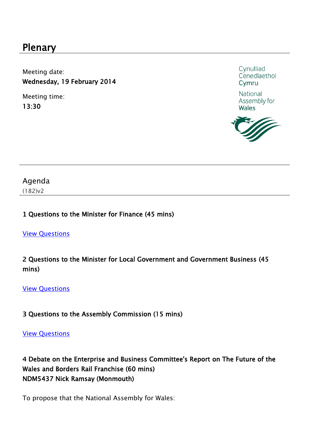# Plenary

Meeting date: Wednesday, 19 February 2014

Meeting time: 13:30

Cynulliad Cenedlaethol Cymru

National Assembly for **Wales** 



# Agenda

(182)v2

#### Questions to the Minister for Finance (45 mins)

#### [View Questions](http://www.assemblywales.org/bus-home/bus-chamber-fourth-assembly-oral-questions.htm?act=dis&id=253772&ds=2/2014)

Questions to the Minister for Local Government and Government Business (45 mins)

[View Questions](http://www.assemblywales.org/bus-home/bus-chamber-fourth-assembly-oral-questions.htm?act=dis&id=253772&ds=2/2014)

#### Questions to the Assembly Commission (15 mins)

[View Questions](http://www.assemblywales.org/bus-home/bus-chamber-fourth-assembly-oral-questions.htm?act=dis&id=253772&ds=2/2014)

# Debate on the Enterprise and Business Committee's Report on The Future of the Wales and Borders Rail Franchise (60 mins) NDM5437 Nick Ramsay (Monmouth)

To propose that the National Assembly for Wales: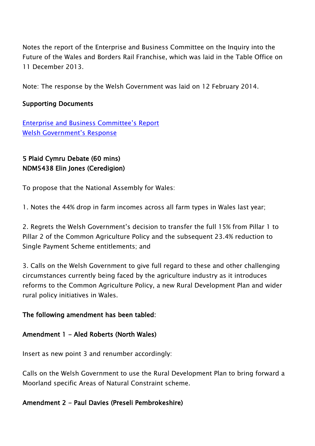Notes the report of the Enterprise and Business Committee on the Inquiry into the Future of the Wales and Borders Rail Franchise, which was laid in the Table Office on 11 December 2013.

Note: The response by the Welsh Government was laid on 12 February 2014.

### Supporting Documents

[Enterprise and Business Committee's Report](http://www.assemblywales.org/bus-home/bus-business-fourth-assembly-laid-docs/cr-ld9589-e.pdf?langoption=3&ttl=CR-LD9589%20-%20Enterprise%20and%20Business%20Committee%20-%20Report%20on%20the%20Inquiry%20into%20the%20Future%20of%20the%20Wales%20and%20Borders%20Rail%20Franchise) [Welsh Government's Response](http://www.assemblywales.org/bus-home/bus-business-fourth-assembly-laid-docs/gen-ld9653-e.pdf?langoption=3&ttl=GEN-LD9653%20-%20Written%20Response%20by%20the%20Welsh%20Government%20to%20the%20report%20of%20the%20Enterprise%20and%20Business%20Committee%20-%20Report%20on%20the%20Inquiry%20into%20the%20Future%20of%20the%20Wales%20and%20Borders%20Rail%20Franchise)

# 5 Plaid Cymru Debate (60 mins) NDM5438 Elin Jones (Ceredigion)

To propose that the National Assembly for Wales:

1. Notes the 44% drop in farm incomes across all farm types in Wales last year;

2. Regrets the Welsh Government's decision to transfer the full 15% from Pillar 1 to Pillar 2 of the Common Agriculture Policy and the subsequent 23.4% reduction to Single Payment Scheme entitlements; and

3. Calls on the Welsh Government to give full regard to these and other challenging circumstances currently being faced by the agriculture industry as it introduces reforms to the Common Agriculture Policy, a new Rural Development Plan and wider rural policy initiatives in Wales.

## The following amendment has been tabled:

## Amendment 1 - Aled Roberts (North Wales)

Insert as new point 3 and renumber accordingly:

Calls on the Welsh Government to use the Rural Development Plan to bring forward a Moorland specific Areas of Natural Constraint scheme.

#### Amendment 2 - Paul Davies (Preseli Pembrokeshire)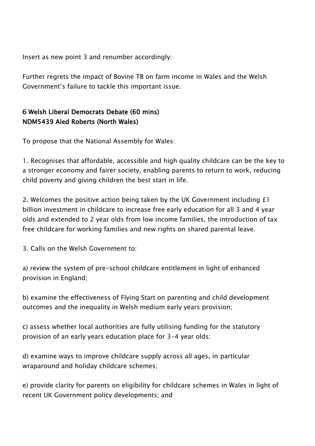Insert as new point 3 and renumber accordingly:

Further regrets the impact of Bovine TB on farm income in Wales and the Welsh Government's failure to tackle this important issue.

# Welsh Liberal Democrats Debate (60 mins) NDM5439 Aled Roberts (North Wales)

To propose that the National Assembly for Wales:

1. Recognises that affordable, accessible and high quality childcare can be the key to a stronger economy and fairer society, enabling parents to return to work, reducing child poverty and giving children the best start in life.

2. Welcomes the positive action being taken by the UK Government including £1 billion investment in childcare to increase free early education for all 3 and 4 year olds and extended to 2 year olds from low income families, the introduction of tax free childcare for working families and new rights on shared parental leave.

3. Calls on the Welsh Government to:

a) review the system of pre-school childcare entitlement in light of enhanced provision in England;

b) examine the effectiveness of Flying Start on parenting and child development outcomes and the inequality in Welsh medium early years provision;

c) assess whether local authorities are fully utilising funding for the statutory provision of an early years education place for 3-4 year olds;

d) examine ways to improve childcare supply across all ages, in particular wraparound and holiday childcare schemes;

e) provide clarity for parents on eligibility for childcare schemes in Wales in light of recent UK Government policy developments; and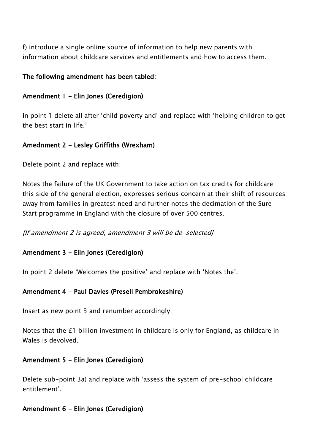f) introduce a single online source of information to help new parents with information about childcare services and entitlements and how to access them.

### The following amendment has been tabled:

### Amendment 1 - Elin Jones (Ceredigion)

In point 1 delete all after 'child poverty and' and replace with 'helping children to get the best start in life.'

## Amednment 2 - Lesley Griffiths (Wrexham)

Delete point 2 and replace with:

Notes the failure of the UK Government to take action on tax credits for childcare this side of the general election, expresses serious concern at their shift of resources away from families in greatest need and further notes the decimation of the Sure Start programme in England with the closure of over 500 centres.

[If amendment 2 is agreed, amendment 3 will be de-selected]

#### Amendment 3 - Elin Jones (Ceredigion)

In point 2 delete 'Welcomes the positive' and replace with 'Notes the'.

#### Amendment 4 - Paul Davies (Preseli Pembrokeshire)

Insert as new point 3 and renumber accordingly:

Notes that the £1 billion investment in childcare is only for England, as childcare in Wales is devolved.

#### Amendment 5 - Elin Jones (Ceredigion)

Delete sub-point 3a) and replace with 'assess the system of pre-school childcare entitlement'.

#### Amendment 6 - Elin Jones (Ceredigion)